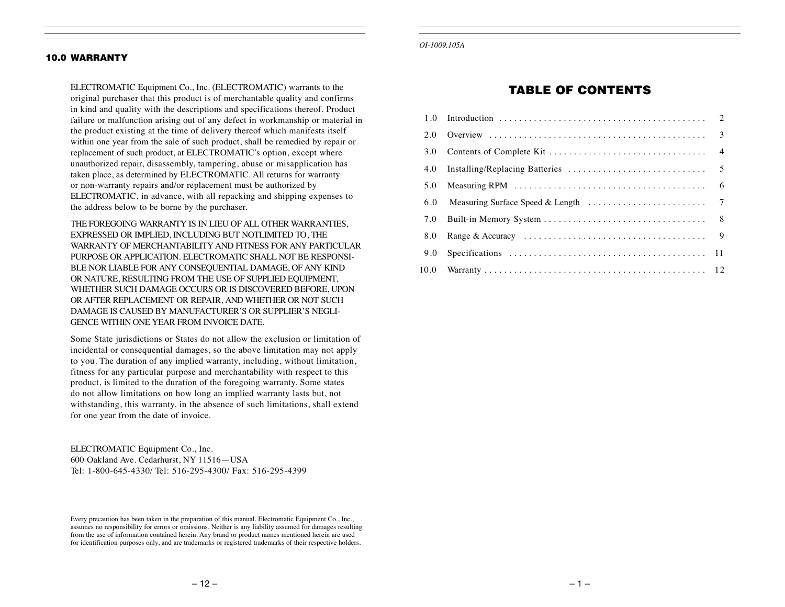#### 10.0 WARRANTY

ELECTROMATIC Equipment Co., Inc. (ELECTROMATIC) warrants to the original purchaser that this product is of merchantable quality and confirms in kind and quality with the descriptions and specifications thereof. Product failure or malfunction arising out of any defect in workmanship or material in the product existing at the time of delivery thereof which manifests itself within one year from the sale of such product, shall be remedied by repair or replacement of such product, at ELECTROMATIC's option, except where unauthorized repair, disassembly, tampering, abuse or misapplication has taken place, as determined by ELECTROMATIC. All returns for warranty or non-warranty repairs and/or replacement must be authorized by ELECTROMATIC, in advance, with all repacking and shipping expenses to the address below to be borne by the purchaser.

THE FOREGOING WARRANTY IS IN LIEU OF ALL OTHER WARRANTIES, EXPRESSED OR IMPLIED, INCLUDING BUT NOTLIMITED TO, THE WARRANTY OF MERCHANTABILITY AND FITNESS FOR ANY PARTICULAR PURPOSE OR APPLICATION. ELECTROMATIC SHALL NOT BE RESPONSI-BLE NOR LIABLE FOR ANY CONSEQUENTIAL DAMAGE, OF ANY KIND OR NATURE, RESULTING FROM THE USE OF SUPPLIED EQUIPMENT, WHETHER SUCH DAMAGE OCCURS OR IS DISCOVERED BEFORE, UPON OR AFTER REPLACEMENT OR REPAIR, AND WHETHER OR NOT SUCH DAMAGE IS CAUSED BY MANUFACTURER'S OR SUPPLIER'S NEGLI-GENCE WITHIN ONE YEAR FROM INVOICE DATE.

Some State jurisdictions or States do not allow the exclusion or limitation of incidental or consequential damages, so the above limitation may not apply to you. The duration of any implied warranty, including, without limitation, fitness for any particular purpose and merchantability with respect to this product, is limited to the duration of the foregoing warranty. Some states do not allow limitations on how long an implied warranty lasts but, not withstanding, this warranty, in the absence of such limitations, shall extend for one year from the date of invoice.

ELECTROMATIC Equipment Co., Inc. 600 Oakland Ave. Cedarhurst, NY 11516—USA Tel: 1-800-645-4330/ Tel: 516-295-4300/ Fax: 516-295-4399

Every precaution has been taken in the preparation of this manual. Electromatic Equipment Co., Inc., assumes no responsibility for errors or omissions. Neither is any liability assumed for damages resulting from the use of information contained herein. Any brand or product names mentioned herein are used for identification purposes only, and are trademarks or registered trademarks of their respective holders.

*OI-1009.105A*

# TABLE OF CONTENTS

| 2.0  |  |
|------|--|
| 3.0  |  |
| 4.0  |  |
| 5.0  |  |
| 6.0  |  |
| 7.0  |  |
| 8.0  |  |
| 9.0  |  |
| 10.0 |  |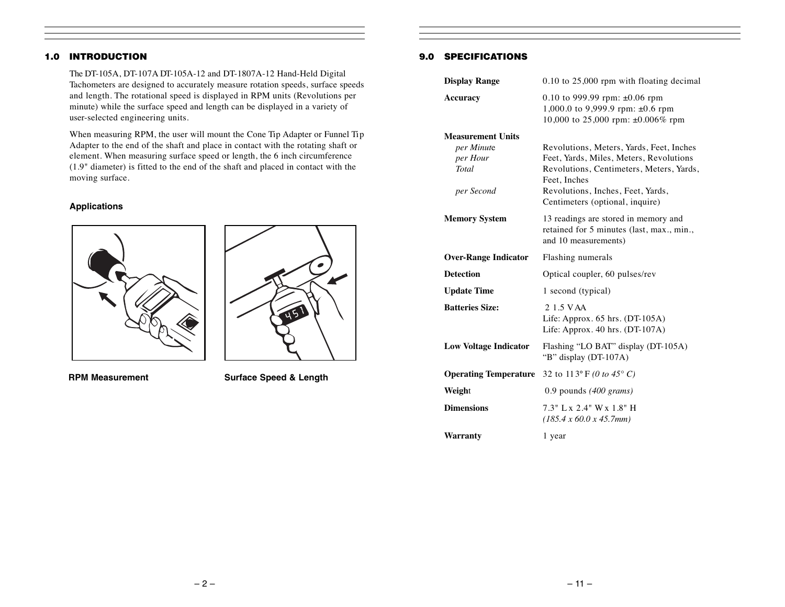# 1.0 INTRODUCTION

The DT-105A, DT-107A DT-105A-12 and DT-1807A-12 Hand-Held Digital Tachometers are designed to accurately measure rotation speeds, surface speeds and length. The rotational speed is displayed in RPM units (Revolutions per minute) while the surface speed and length can be displayed in a variety of user-selected engineering units.

When measuring RPM, the user will mount the Cone Tip Adapter or Funnel Tip Adapter to the end of the shaft and place in contact with the rotating shaft or element. When measuring surface speed or length, the 6 inch circumference (1.9" diameter) is fitted to the end of the shaft and placed in contact with the moving surface.

#### **Applications**





**RPM Measurement Surface Speed & Length**

#### 9.0 SPECIFICATIONS

| <b>Display Range</b>         | 0.10 to 25,000 rpm with floating decimal                                                                         |
|------------------------------|------------------------------------------------------------------------------------------------------------------|
| <b>Accuracy</b>              | 0.10 to 999.99 rpm: $\pm 0.06$ rpm<br>1,000.0 to 9,999.9 rpm: $\pm$ 0.6 rpm<br>10,000 to 25,000 rpm: ±0.006% rpm |
| <b>Measurement Units</b>     |                                                                                                                  |
| per Minute                   | Revolutions, Meters, Yards, Feet, Inches                                                                         |
| per Hour<br><b>Total</b>     | Feet, Yards, Miles, Meters, Revolutions<br>Revolutions, Centimeters, Meters, Yards,<br>Feet, Inches              |
| per Second                   | Revolutions, Inches, Feet, Yards,<br>Centimeters (optional, inquire)                                             |
| <b>Memory System</b>         | 13 readings are stored in memory and<br>retained for 5 minutes (last, max., min.,<br>and 10 measurements)        |
| <b>Over-Range Indicator</b>  | Flashing numerals                                                                                                |
| <b>Detection</b>             | Optical coupler, 60 pulses/rev                                                                                   |
| <b>Update Time</b>           | 1 second (typical)                                                                                               |
| <b>Batteries Size:</b>       | 2 1.5 V AA<br>Life: Approx. $65$ hrs. $(DT-105A)$<br>Life: Approx. $40$ hrs. $(DT-107A)$                         |
| <b>Low Voltage Indicator</b> | Flashing "LO BAT" display (DT-105A)<br>"B" display (DT-107A)                                                     |
| <b>Operating Temperature</b> | 32 to 113° F (0 to 45° C)                                                                                        |
| Weight                       | 0.9 pounds $(400 \text{ grams})$                                                                                 |
| <b>Dimensions</b>            | 7.3" L x 2.4" W x 1.8" H<br>(185.4 x 60.0 x 45.7 mm)                                                             |
| Warranty                     | 1 year                                                                                                           |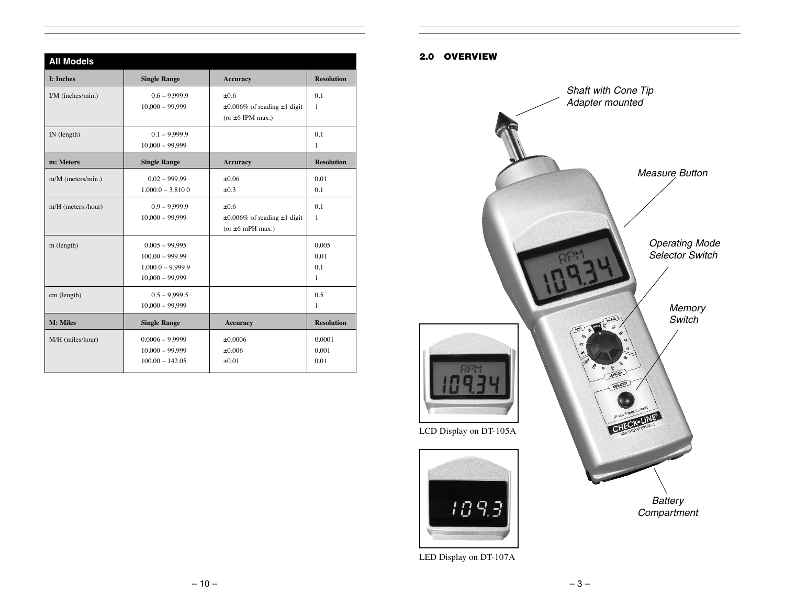| <b>All Models</b>   |                                                                                   |                                                                         |                           |  |  |  |
|---------------------|-----------------------------------------------------------------------------------|-------------------------------------------------------------------------|---------------------------|--|--|--|
| <b>I: Inches</b>    | <b>Single Range</b>                                                               | <b>Accuracy</b>                                                         | <b>Resolution</b>         |  |  |  |
| $I/M$ (inches/min.) | $0.6 - 9.999.9$<br>$10,000 - 99,999$                                              | ±0.6<br>$\pm 0.006\%$ of reading $\pm 1$ digit<br>(or $\pm 6$ IPM max.) | 0.1<br>1                  |  |  |  |
| IN (length)         | $0.1 - 9.999.9$<br>$10,000 - 99,999$                                              |                                                                         | 0.1<br>$\mathbf{1}$       |  |  |  |
| m: Meters           | <b>Single Range</b>                                                               | <b>Accuracy</b>                                                         | <b>Resolution</b>         |  |  |  |
| m/M (meters/min.)   | $0.02 - 999.99$<br>$1,000.0 - 3,810.0$                                            | ±0.06<br>±0.3                                                           | 0.01<br>0.1               |  |  |  |
| m/H (meters./hour)  | $0.9 - 9.999.9$<br>$10,000 - 99,999$                                              | ±0.6<br>$\pm 0.006\%$ of reading $\pm 1$ digit<br>(or $\pm 6$ mPH max.) | 0.1<br>1                  |  |  |  |
| m (length)          | $0.005 - 99.995$<br>$100.00 - 999.99$<br>$1,000.0 - 9,999.9$<br>$10,000 - 99,999$ |                                                                         | 0.005<br>0.01<br>0.1<br>1 |  |  |  |
| cm (length)         | $0.5 - 9.999.5$<br>$10,000 - 99,999$                                              |                                                                         | 0.5<br>$\mathbf{1}$       |  |  |  |
| M: Miles            | <b>Single Range</b>                                                               | <b>Accuracy</b>                                                         | <b>Resolution</b>         |  |  |  |
| M/H (miles/hour)    | $0.0006 - 9.9999$<br>$10.000 - 99.999$<br>$100.00 - 142.05$                       | ±0.0006<br>$\pm 0.006$<br>±0.01                                         | 0.0001<br>0.001<br>0.01   |  |  |  |

# 2.0 OVERVIEW



LED Display on DT-107A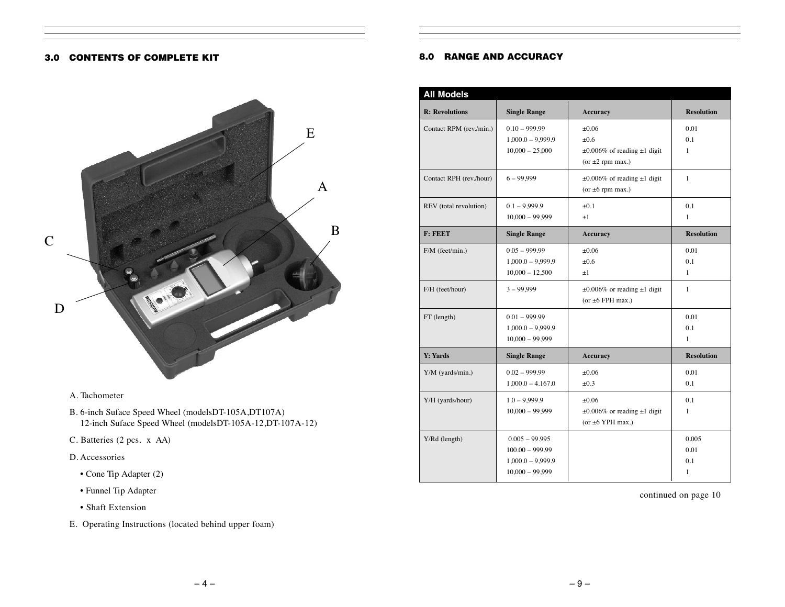#### 3.0 CONTENTS OF COMPLETE KIT



## A. Tachometer

- B. 6-inch Suface Speed Wheel (modelsDT-105A,DT107A) 12-inch Suface Speed Wheel (modelsDT-105A-12,DT-107A-12)
- C. Batteries (2 pcs. x AA)
- D. Accessories
	- Cone Tip Adapter (2)
	- Funnel Tip Adapter
	- Shaft Extension
- E. Operating Instructions (located behind upper foam)

#### 8.0 RANGE AND ACCURACY

| <b>R:</b> Revolutions   | <b>Single Range</b> | <b>Accuracy</b>                        | <b>Resolution</b> |
|-------------------------|---------------------|----------------------------------------|-------------------|
| Contact RPM (rev./min.) | $0.10 - 999.99$     | $\pm 0.06$                             | 0.01              |
|                         | $1,000.0 - 9,999.9$ | ±0.6                                   | 0.1               |
|                         | $10,000 - 25,000$   | $\pm 0.006\%$ of reading $\pm 1$ digit | 1                 |
|                         |                     | (or $\pm 2$ rpm max.)                  |                   |
| Contact RPH (rev./hour) | $6 - 99,999$        | $\pm 0.006\%$ of reading $\pm 1$ digit | $\mathbf{1}$      |
|                         |                     | (or $\pm 6$ rpm max.)                  |                   |
| REV (total revolution)  | $0.1 - 9.999.9$     | $\pm 0.1$                              | 0.1               |
|                         | $10,000 - 99,999$   | $\pm 1$                                | $\mathbf{1}$      |
| F: FEET                 | <b>Single Range</b> | <b>Accuracy</b>                        | <b>Resolution</b> |
| F/M (feet/min.)         | $0.05 - 999.99$     | $\pm 0.06$                             | 0.01              |
|                         | $1,000.0 - 9,999.9$ | $\pm 0.6$                              | 0.1               |
|                         | $10,000 - 12,500$   | $\pm 1$                                | $\mathbf{1}$      |
| F/H (feet/hour)         | $3 - 99,999$        | $\pm 0.006\%$ or reading $\pm 1$ digit | $\mathbf{1}$      |
|                         |                     | (or $\pm 6$ FPH max.)                  |                   |
| FT (length)             | $0.01 - 999.99$     |                                        | 0.01              |
|                         | $1,000.0 - 9,999.9$ |                                        | 0.1               |
|                         | $10,000 - 99,999$   |                                        | $\mathbf{1}$      |
| <b>Y: Yards</b>         | <b>Single Range</b> | <b>Accuracy</b>                        | <b>Resolution</b> |
| Y/M (yards/min.)        | $0.02 - 999.99$     | $\pm 0.06$                             | 0.01              |
|                         | $1,000.0 - 4.167.0$ | $\pm 0.3$                              | 0.1               |
| Y/H (yards/hour)        | $1.0 - 9.999.9$     | $\pm 0.06$                             | 0.1               |
|                         | $10,000 - 99,999$   | $\pm 0.006\%$ or reading $\pm 1$ digit | 1                 |
|                         |                     |                                        |                   |
|                         |                     | (or $\pm 6$ YPH max.)                  |                   |
| Y/Rd (length)           | $0.005 - 99.995$    |                                        | 0.005             |
|                         | $100.00 - 999.99$   |                                        | 0.01              |
|                         | $1,000.0 - 9,999.9$ |                                        | 0.1               |

continued on page 10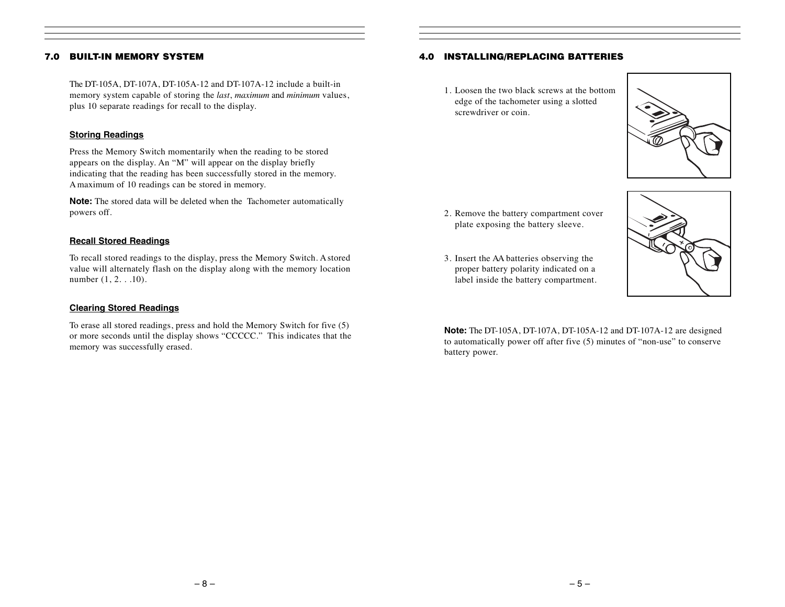#### 7.0 BUILT-IN MEMORY SYSTEM

The DT-105A, DT-107A, DT-105A-12 and DT-107A-12 include a built-in memory system capable of storing the *last*, *maximum* and *minimum* values, plus 10 separate readings for recall to the display.

#### **Storing Readings**

Press the Memory Switch momentarily when the reading to be stored appears on the display. An "M" will appear on the display briefly indicating that the reading has been successfully stored in the memory. A maximum of 10 readings can be stored in memory.

**Note:** The stored data will be deleted when the Tachometer automatically powers off.

#### **Recall Stored Readings**

To recall stored readings to the display, press the Memory Switch. A stored value will alternately flash on the display along with the memory location number (1, 2. . .10).

#### **Clearing Stored Readings**

To erase all stored readings, press and hold the Memory Switch for five (5) or more seconds until the display shows "CCCCC." This indicates that the memory was successfully erased.

#### 4.0 INSTALLING/REPLACING BATTERIES

1. Loosen the two black screws at the bottom edge of the tachometer using a slotted screwdriver or coin.

- 2. Remove the battery compartment cover plate exposing the battery sleeve.
- 3. Insert the AA batteries observing the proper battery polarity indicated on a label inside the battery compartment.





**Note:** The DT-105A, DT-107A, DT-105A-12 and DT-107A-12 are designed to automatically power off after five (5) minutes of "non-use" to conserve battery power.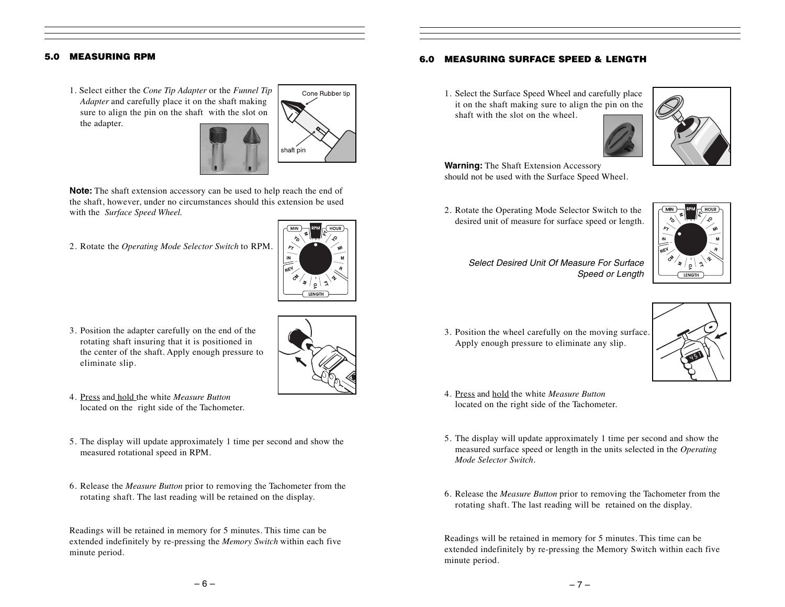#### 5.0 MEASURING RPM

1. Select either the *Cone Tip Adapter* or the *Funnel Tip Adapter* and carefully place it on the shaft making sure to align the pin on the shaft with the slot on the adapter.



**Note:** The shaft extension accessory can be used to help reach the end of the shaft, however, under no circumstances should this extension be used with the *Surface Speed Wheel.*

2. Rotate the *Operating Mode Selector Switch* to RPM.



- 3. Position the adapter carefully on the end of the rotating shaft insuring that it is positioned in the center of the shaft. Apply enough pressure to eliminate slip.
- 4. Press and hold the white *Measure Button* located on the right side of the Tachometer.
- 5. The display will update approximately 1 time per second and show the measured rotational speed in RPM.
- 6. Release the *Measure Button* prior to removing the Tachometer from the rotating shaft. The last reading will be retained on the display.

Readings will be retained in memory for 5 minutes. This time can be extended indefinitely by re-pressing the *Memory Switch* within each five minute period.

### 6.0 MEASURING SURFACE SPEED & LENGTH

1. Select the Surface Speed Wheel and carefully place it on the shaft making sure to align the pin on the shaft with the slot on the wheel.



**Warning:** The Shaft Extension Accessory should not be used with the Surface Speed Wheel.

2. Rotate the Operating Mode Selector Switch to the desired unit of measure for surface speed or length.



- *Select Desired Unit Of Measure For Surface Speed or Length*
- 3. Position the wheel carefully on the moving surface. Apply enough pressure to eliminate any slip.



- 4. Press and hold the white *Measure Button*  located on the right side of the Tachometer.
- 5. The display will update approximately 1 time per second and show the measured surface speed or length in the units selected in the *Operating Mode Selector Switch*.
- 6. Release the *Measure Button* prior to removing the Tachometer from the rotating shaft. The last reading will be retained on the display.

Readings will be retained in memory for 5 minutes. This time can be extended indefinitely by re-pressing the Memory Switch within each five minute period.